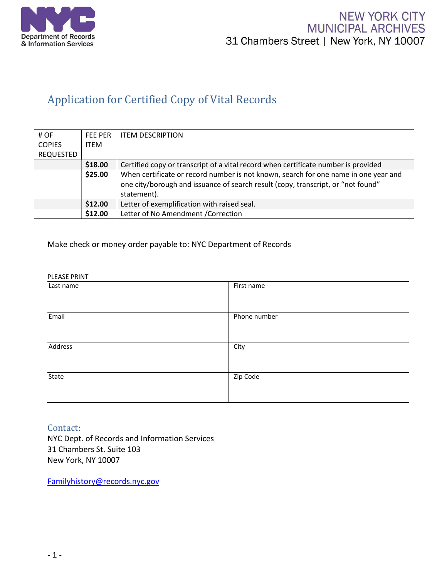

# Application for Certified Copy of Vital Records

| # OF          | <b>FEE PER</b> | <b>ITEM DESCRIPTION</b>                                                                                                                                                                |
|---------------|----------------|----------------------------------------------------------------------------------------------------------------------------------------------------------------------------------------|
| <b>COPIES</b> | <b>ITEM</b>    |                                                                                                                                                                                        |
| REQUESTED     |                |                                                                                                                                                                                        |
|               | \$18.00        | Certified copy or transcript of a vital record when certificate number is provided                                                                                                     |
|               | \$25.00        | When certificate or record number is not known, search for one name in one year and<br>one city/borough and issuance of search result (copy, transcript, or "not found"<br>statement). |
|               | \$12.00        | Letter of exemplification with raised seal.                                                                                                                                            |
|               | \$12.00        | Letter of No Amendment / Correction                                                                                                                                                    |

Make check or money order payable to: NYC Department of Records

| PLEASE PRINT |  |  |
|--------------|--|--|
| First name   |  |  |
|              |  |  |
| Phone number |  |  |
|              |  |  |
| City         |  |  |
|              |  |  |
| Zip Code     |  |  |
|              |  |  |
|              |  |  |

Contact:

NYC Dept. of Records and Information Services 31 Chambers St. Suite 103 New York, NY 10007

[Familyhistory@records.nyc.gov](mailto:Familyhistory@records.nyc,gov)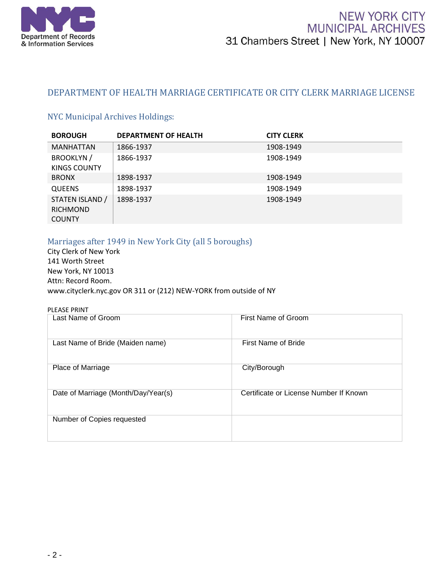

## **NEW YORK CITY MUNICIPAL ARCHIVES** 31 Chambers Street | New York, NY 10007

#### DEPARTMENT OF HEALTH MARRIAGE CERTIFICATE OR CITY CLERK MARRIAGE LICENSE

#### NYC Municipal Archives Holdings:

| <b>BOROUGH</b>                                      | <b>DEPARTMENT OF HEALTH</b> | <b>CITY CLERK</b> |
|-----------------------------------------------------|-----------------------------|-------------------|
| <b>MANHATTAN</b>                                    | 1866-1937                   | 1908-1949         |
| <b>BROOKLYN /</b><br>KINGS COUNTY                   | 1866-1937                   | 1908-1949         |
| <b>BRONX</b>                                        | 1898-1937                   | 1908-1949         |
| <b>QUEENS</b>                                       | 1898-1937                   | 1908-1949         |
| STATEN ISLAND /<br><b>RICHMOND</b><br><b>COUNTY</b> | 1898-1937                   | 1908-1949         |

### Marriages after 1949 in New York City (all 5 boroughs)

City Clerk of New York 141 Worth Street New York, NY 10013 Attn: Record Room. www.cityclerk.nyc.gov OR 311 or (212) NEW-YORK from outside of NY

#### PLEASE PRINT

| Last Name of Groom                  | First Name of Groom                    |
|-------------------------------------|----------------------------------------|
| Last Name of Bride (Maiden name)    | First Name of Bride                    |
| Place of Marriage                   | City/Borough                           |
| Date of Marriage (Month/Day/Year(s) | Certificate or License Number If Known |
| Number of Copies requested          |                                        |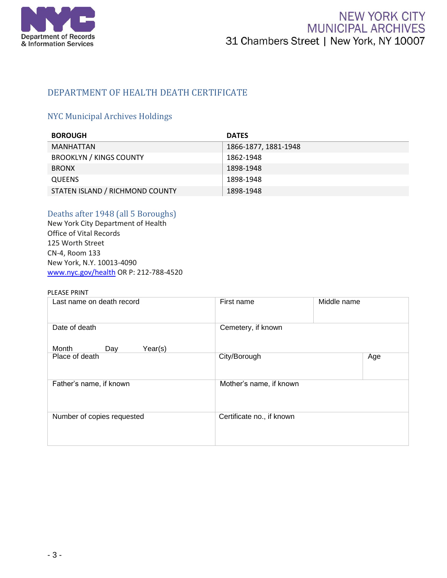

### DEPARTMENT OF HEALTH DEATH CERTIFICATE

### NYC Municipal Archives Holdings

| <b>BOROUGH</b>                  | <b>DATES</b>         |
|---------------------------------|----------------------|
| <b>MANHATTAN</b>                | 1866-1877, 1881-1948 |
| <b>BROOKLYN / KINGS COUNTY</b>  | 1862-1948            |
| <b>BRONX</b>                    | 1898-1948            |
| <b>QUEENS</b>                   | 1898-1948            |
| STATEN ISLAND / RICHMOND COUNTY | 1898-1948            |

#### Deaths after 1948 (all 5 Boroughs)

New York City Department of Health Office of Vital Records 125 Worth Street CN-4, Room 133 New York, N.Y. 10013-4090 [www.nyc.gov/health](https://gcc01.safelinks.protection.outlook.com/?url=http%3A%2F%2Fwww.nyc.gov%2Fhealth&data=02%7C01%7Cvitalrecords%40records.nyc.gov%7C11d22c3204164195dd8108d85b3ae56b%7C32f56fc75f814e22a95b15da66513bef%7C0%7C0%7C637359656081549082&sdata=2nCSenjj6PhYM8q2BT3GWQMv%2FBzmJPPgpn76pldkWMI%3D&reserved=0) OR P: 212-788-4520

#### PLEASE PRINT

| Last name on death record  | First name                | Middle name |
|----------------------------|---------------------------|-------------|
| Date of death              | Cemetery, if known        |             |
| Month<br>Year(s)<br>Day    |                           |             |
| Place of death             | City/Borough              | Age         |
| Father's name, if known    | Mother's name, if known   |             |
| Number of copies requested | Certificate no., if known |             |